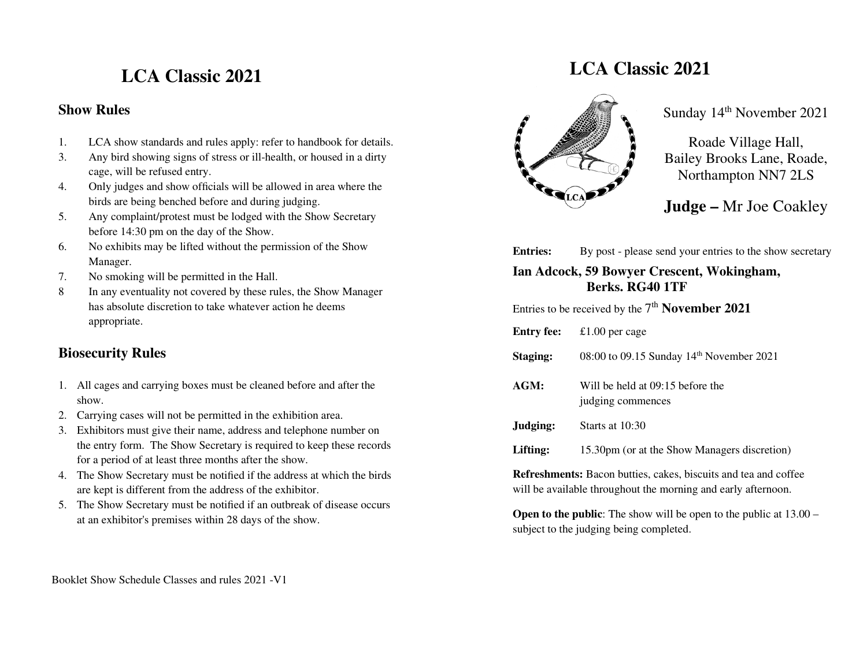# **LCA Classic 2021**

#### **Show Rules**

- 1.LCA show standards and rules apply: refer to handbook for details.
- 3. Any bird showing signs of stress or ill-health, or housed in a dirty cage, will be refused entry.
- 4. Only judges and show officials will be allowed in area where the birds are being benched before and during judging.
- 5. Any complaint/protest must be lodged with the Show Secretary before 14:30 pm on the day of the Show.
- 6. No exhibits may be lifted without the permission of the Show Manager.
- 7. No smoking will be permitted in the Hall.
- 8 In any eventuality not covered by these rules, the Show Manager has absolute discretion to take whatever action he deems appropriate.

### **Biosecurity Rules**

- 1. All cages and carrying boxes must be cleaned before and after the show.
- 2. Carrying cases will not be permitted in the exhibition area.
- 3. Exhibitors must give their name, address and telephone number on the entry form. The Show Secretary is required to keep these records for a period of at least three months after the show.
- 4. The Show Secretary must be notified if the address at which the birds are kept is different from the address of the exhibitor.
- 5. The Show Secretary must be notified if an outbreak of disease occurs at an exhibitor's premises within 28 days of the show.

# **LCA Classic 2021**



Sunday 14<sup>th</sup> November 2021

Roade Village Hall, Bailey Brooks Lane, Roade, Northampton NN7 2LS

**Judge –** Mr Joe Coakley

**Entries:** By post - please send your entries to the show secretary

**Ian Adcock, 59 Bowyer Crescent, Wokingham, Berks. RG40 1TF** 

Entries to be received by the 7<sup>th</sup> **November 2021** 

| <b>Entry fee:</b> | £1.00 per cage |
|-------------------|----------------|
|                   |                |

- **Staging:** 08:00 to 09.15 Sunday 14<sup>th</sup> November 2021
- **AGM:** Will be held at 09:15 before the judging commences
- **Judging:** Starts at 10:30
- Lifting: 15.30pm (or at the Show Managers discretion)

**Refreshments:** Bacon butties, cakes, biscuits and tea and coffee will be available throughout the morning and early afternoon.

**Open to the public:** The show will be open to the public at  $13.00$ subject to the judging being completed.

Booklet Show Schedule Classes and rules 2021 -V1